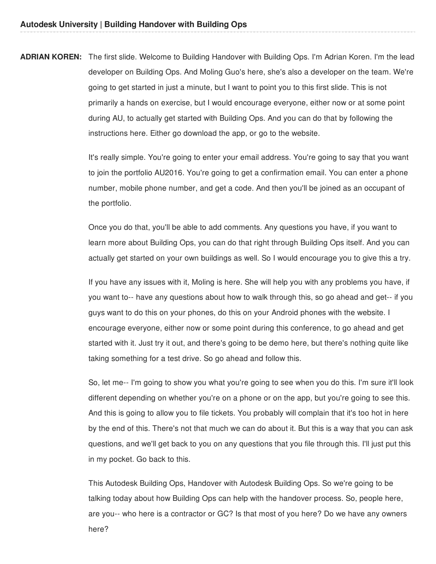**ADRIAN KOREN:** The first slide. Welcome to Building Handover with Building Ops. I'm Adrian Koren. I'm the lead developer on Building Ops. And Moling Guo's here, she's also a developer on the team. We're going to get started in just a minute, but I want to point you to this first slide. This is not primarily a hands on exercise, but I would encourage everyone, either now or at some point during AU, to actually get started with Building Ops. And you can do that by following the instructions here. Either go download the app, or go to the website.

> It's really simple. You're going to enter your email address. You're going to say that you want to join the portfolio AU2016. You're going to get a confirmation email. You can enter a phone number, mobile phone number, and get a code. And then you'll be joined as an occupant of the portfolio.

> Once you do that, you'll be able to add comments. Any questions you have, if you want to learn more about Building Ops, you can do that right through Building Ops itself. And you can actually get started on your own buildings as well. So I would encourage you to give this a try.

> If you have any issues with it, Moling is here. She will help you with any problems you have, if you want to-- have any questions about how to walk through this, so go ahead and get-- if you guys want to do this on your phones, do this on your Android phones with the website. I encourage everyone, either now or some point during this conference, to go ahead and get started with it. Just try it out, and there's going to be demo here, but there's nothing quite like taking something for a test drive. So go ahead and follow this.

> So, let me-- I'm going to show you what you're going to see when you do this. I'm sure it'll look different depending on whether you're on a phone or on the app, but you're going to see this. And this is going to allow you to file tickets. You probably will complain that it's too hot in here by the end of this. There's not that much we can do about it. But this is a way that you can ask questions, and we'll get back to you on any questions that you file through this. I'll just put this in my pocket. Go back to this.

This Autodesk Building Ops, Handover with Autodesk Building Ops. So we're going to be talking today about how Building Ops can help with the handover process. So, people here, are you-- who here is a contractor or GC? Is that most of you here? Do we have any owners here?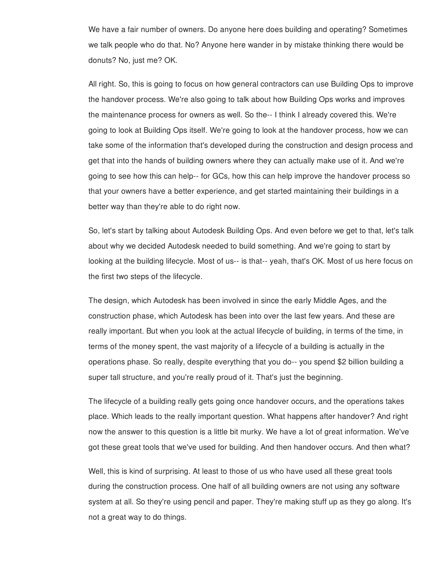We have a fair number of owners. Do anyone here does building and operating? Sometimes we talk people who do that. No? Anyone here wander in by mistake thinking there would be donuts? No, just me? OK.

All right. So, this is going to focus on how general contractors can use Building Ops to improve the handover process. We're also going to talk about how Building Ops works and improves the maintenance process for owners as well. So the-- I think I already covered this. We're going to look at Building Ops itself. We're going to look at the handover process, how we can take some of the information that's developed during the construction and design process and get that into the hands of building owners where they can actually make use of it. And we're going to see how this can help-- for GCs, how this can help improve the handover process so that your owners have a better experience, and get started maintaining their buildings in a better way than they're able to do right now.

So, let's start by talking about Autodesk Building Ops. And even before we get to that, let's talk about why we decided Autodesk needed to build something. And we're going to start by looking at the building lifecycle. Most of us-- is that-- yeah, that's OK. Most of us here focus on the first two steps of the lifecycle.

The design, which Autodesk has been involved in since the early Middle Ages, and the construction phase, which Autodesk has been into over the last few years. And these are really important. But when you look at the actual lifecycle of building, in terms of the time, in terms of the money spent, the vast majority of a lifecycle of a building is actually in the operations phase. So really, despite everything that you do-- you spend \$2 billion building a super tall structure, and you're really proud of it. That's just the beginning.

The lifecycle of a building really gets going once handover occurs, and the operations takes place. Which leads to the really important question. What happens after handover? And right now the answer to this question is a little bit murky. We have a lot of great information. We've got these great tools that we've used for building. And then handover occurs. And then what?

Well, this is kind of surprising. At least to those of us who have used all these great tools during the construction process. One half of all building owners are not using any software system at all. So they're using pencil and paper. They're making stuff up as they go along. It's not a great way to do things.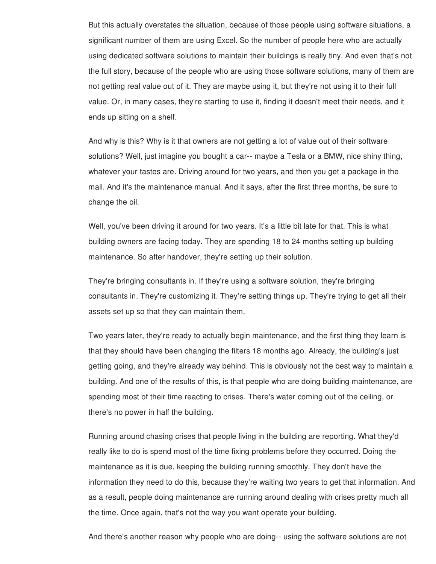But this actually overstates the situation, because of those people using software situations, a significant number of them are using Excel. So the number of people here who are actually using dedicated software solutions to maintain their buildings is really tiny. And even that's not the full story, because of the people who are using those software solutions, many of them are not getting real value out of it. They are maybe using it, but they're not using it to their full value. Or, in many cases, they're starting to use it, finding it doesn't meet their needs, and it ends up sitting on a shelf.

And why is this? Why is it that owners are not getting a lot of value out of their software solutions? Well, just imagine you bought a car-- maybe a Tesla or a BMW, nice shiny thing, whatever your tastes are. Driving around for two years, and then you get a package in the mail. And it's the maintenance manual. And it says, after the first three months, be sure to change the oil.

Well, you've been driving it around for two years. It's a little bit late for that. This is what building owners are facing today. They are spending 18 to 24 months setting up building maintenance. So after handover, they're setting up their solution.

They're bringing consultants in. If they're using a software solution, they're bringing consultants in. They're customizing it. They're setting things up. They're trying to get all their assets set up so that they can maintain them.

Two years later, they're ready to actually begin maintenance, and the first thing they learn is that they should have been changing the filters 18 months ago. Already, the building's just getting going, and they're already way behind. This is obviously not the best way to maintain a building. And one of the results of this, is that people who are doing building maintenance, are spending most of their time reacting to crises. There's water coming out of the ceiling, or there's no power in half the building.

Running around chasing crises that people living in the building are reporting. What they'd really like to do is spend most of the time fixing problems before they occurred. Doing the maintenance as it is due, keeping the building running smoothly. They don't have the information they need to do this, because they're waiting two years to get that information. And as a result, people doing maintenance are running around dealing with crises pretty much all the time. Once again, that's not the way you want operate your building.

And there's another reason why people who are doing-- using the software solutions are not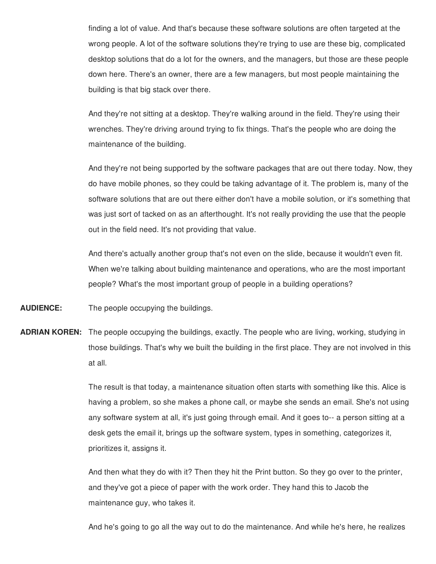finding a lot of value. And that's because these software solutions are often targeted at the wrong people. A lot of the software solutions they're trying to use are these big, complicated desktop solutions that do a lot for the owners, and the managers, but those are these people down here. There's an owner, there are a few managers, but most people maintaining the building is that big stack over there.

And they're not sitting at a desktop. They're walking around in the field. They're using their wrenches. They're driving around trying to fix things. That's the people who are doing the maintenance of the building.

And they're not being supported by the software packages that are out there today. Now, they do have mobile phones, so they could be taking advantage of it. The problem is, many of the software solutions that are out there either don't have a mobile solution, or it's something that was just sort of tacked on as an afterthought. It's not really providing the use that the people out in the field need. It's not providing that value.

And there's actually another group that's not even on the slide, because it wouldn't even fit. When we're talking about building maintenance and operations, who are the most important people? What's the most important group of people in a building operations?

**AUDIENCE:** The people occupying the buildings.

**ADRIAN KOREN:** The people occupying the buildings, exactly. The people who are living, working, studying in those buildings. That's why we built the building in the first place. They are not involved in this at all.

> The result is that today, a maintenance situation often starts with something like this. Alice is having a problem, so she makes a phone call, or maybe she sends an email. She's not using any software system at all, it's just going through email. And it goes to-- a person sitting at a desk gets the email it, brings up the software system, types in something, categorizes it, prioritizes it, assigns it.

And then what they do with it? Then they hit the Print button. So they go over to the printer, and they've got a piece of paper with the work order. They hand this to Jacob the maintenance guy, who takes it.

And he's going to go all the way out to do the maintenance. And while he's here, he realizes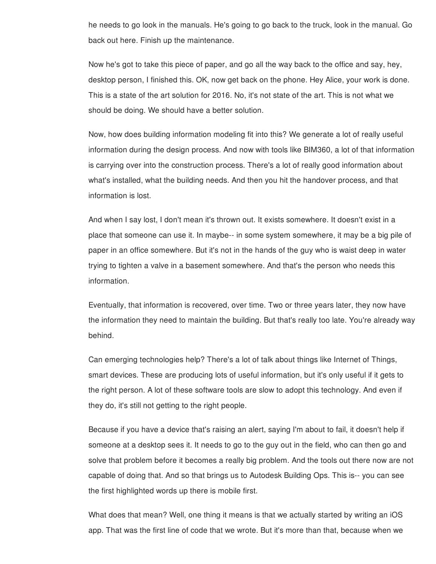he needs to go look in the manuals. He's going to go back to the truck, look in the manual. Go back out here. Finish up the maintenance.

Now he's got to take this piece of paper, and go all the way back to the office and say, hey, desktop person, I finished this. OK, now get back on the phone. Hey Alice, your work is done. This is a state of the art solution for 2016. No, it's not state of the art. This is not what we should be doing. We should have a better solution.

Now, how does building information modeling fit into this? We generate a lot of really useful information during the design process. And now with tools like BIM360, a lot of that information is carrying over into the construction process. There's a lot of really good information about what's installed, what the building needs. And then you hit the handover process, and that information is lost.

And when I say lost, I don't mean it's thrown out. It exists somewhere. It doesn't exist in a place that someone can use it. In maybe-- in some system somewhere, it may be a big pile of paper in an office somewhere. But it's not in the hands of the guy who is waist deep in water trying to tighten a valve in a basement somewhere. And that's the person who needs this information.

Eventually, that information is recovered, over time. Two or three years later, they now have the information they need to maintain the building. But that's really too late. You're already way behind.

Can emerging technologies help? There's a lot of talk about things like Internet of Things, smart devices. These are producing lots of useful information, but it's only useful if it gets to the right person. A lot of these software tools are slow to adopt this technology. And even if they do, it's still not getting to the right people.

Because if you have a device that's raising an alert, saying I'm about to fail, it doesn't help if someone at a desktop sees it. It needs to go to the guy out in the field, who can then go and solve that problem before it becomes a really big problem. And the tools out there now are not capable of doing that. And so that brings us to Autodesk Building Ops. This is-- you can see the first highlighted words up there is mobile first.

What does that mean? Well, one thing it means is that we actually started by writing an iOS app. That was the first line of code that we wrote. But it's more than that, because when we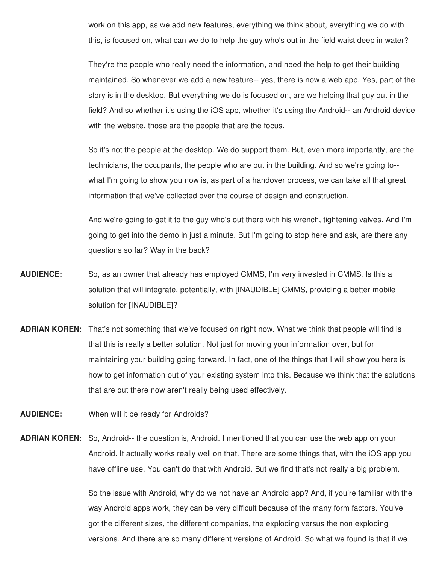work on this app, as we add new features, everything we think about, everything we do with this, is focused on, what can we do to help the guy who's out in the field waist deep in water?

They're the people who really need the information, and need the help to get their building maintained. So whenever we add a new feature-- yes, there is now a web app. Yes, part of the story is in the desktop. But everything we do is focused on, are we helping that guy out in the field? And so whether it's using the iOS app, whether it's using the Android-- an Android device with the website, those are the people that are the focus.

So it's not the people at the desktop. We do support them. But, even more importantly, are the technicians, the occupants, the people who are out in the building. And so we're going to- what I'm going to show you now is, as part of a handover process, we can take all that great information that we've collected over the course of design and construction.

And we're going to get it to the guy who's out there with his wrench, tightening valves. And I'm going to get into the demo in just a minute. But I'm going to stop here and ask, are there any questions so far? Way in the back?

- **AUDIENCE:** So, as an owner that already has employed CMMS, I'm very invested in CMMS. Is this a solution that will integrate, potentially, with [INAUDIBLE] CMMS, providing a better mobile solution for [INAUDIBLE]?
- **ADRIAN KOREN:** That's not something that we've focused on right now. What we think that people will find is that this is really a better solution. Not just for moving your information over, but for maintaining your building going forward. In fact, one of the things that I will show you here is how to get information out of your existing system into this. Because we think that the solutions that are out there now aren't really being used effectively.
- **AUDIENCE:** When will it be ready for Androids?
- **ADRIAN KOREN:** So, Android-- the question is, Android. I mentioned that you can use the web app on your Android. It actually works really well on that. There are some things that, with the iOS app you have offline use. You can't do that with Android. But we find that's not really a big problem.

So the issue with Android, why do we not have an Android app? And, if you're familiar with the way Android apps work, they can be very difficult because of the many form factors. You've got the different sizes, the different companies, the exploding versus the non exploding versions. And there are so many different versions of Android. So what we found is that if we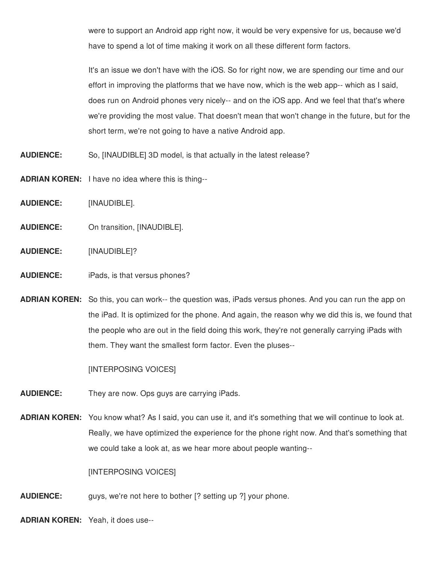were to support an Android app right now, it would be very expensive for us, because we'd have to spend a lot of time making it work on all these different form factors.

It's an issue we don't have with the iOS. So for right now, we are spending our time and our effort in improving the platforms that we have now, which is the web app-- which as I said, does run on Android phones very nicely-- and on the iOS app. And we feel that that's where we're providing the most value. That doesn't mean that won't change in the future, but for the short term, we're not going to have a native Android app.

- **AUDIENCE:** So, [INAUDIBLE] 3D model, is that actually in the latest release?
- **ADRIAN KOREN:** I have no idea where this is thing--
- **AUDIENCE:** [INAUDIBLE].
- **AUDIENCE:** On transition, [INAUDIBLE].
- **AUDIENCE:** [INAUDIBLE]?
- **AUDIENCE:** iPads, is that versus phones?
- **ADRIAN KOREN:** So this, you can work-- the question was, iPads versus phones. And you can run the app on the iPad. It is optimized for the phone. And again, the reason why we did this is, we found that the people who are out in the field doing this work, they're not generally carrying iPads with them. They want the smallest form factor. Even the pluses--

[INTERPOSING VOICES]

- **AUDIENCE:** They are now. Ops guys are carrying iPads.
- **ADRIAN KOREN:** You know what? As I said, you can use it, and it's something that we will continue to look at. Really, we have optimized the experience for the phone right now. And that's something that we could take a look at, as we hear more about people wanting--

[INTERPOSING VOICES]

**AUDIENCE:** guys, we're not here to bother [? setting up ?] your phone.

**ADRIAN KOREN:** Yeah, it does use--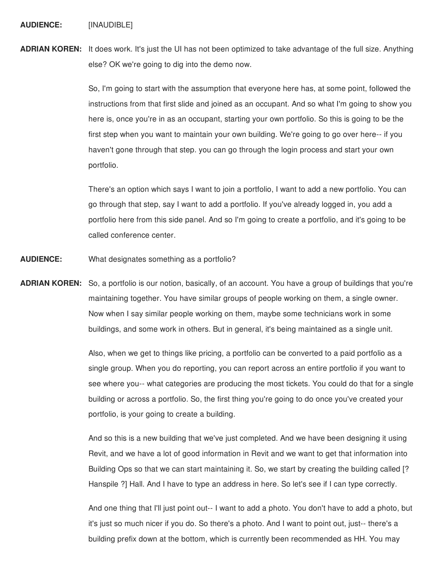**AUDIENCE:** [INAUDIBLE]

**ADRIAN KOREN:** It does work. It's just the UI has not been optimized to take advantage of the full size. Anything else? OK we're going to dig into the demo now.

> So, I'm going to start with the assumption that everyone here has, at some point, followed the instructions from that first slide and joined as an occupant. And so what I'm going to show you here is, once you're in as an occupant, starting your own portfolio. So this is going to be the first step when you want to maintain your own building. We're going to go over here-- if you haven't gone through that step. you can go through the login process and start your own portfolio.

There's an option which says I want to join a portfolio, I want to add a new portfolio. You can go through that step, say I want to add a portfolio. If you've already logged in, you add a portfolio here from this side panel. And so I'm going to create a portfolio, and it's going to be called conference center.

- **AUDIENCE:** What designates something as a portfolio?
- **ADRIAN KOREN:** So, a portfolio is our notion, basically, of an account. You have a group of buildings that you're maintaining together. You have similar groups of people working on them, a single owner. Now when I say similar people working on them, maybe some technicians work in some buildings, and some work in others. But in general, it's being maintained as a single unit.

Also, when we get to things like pricing, a portfolio can be converted to a paid portfolio as a single group. When you do reporting, you can report across an entire portfolio if you want to see where you-- what categories are producing the most tickets. You could do that for a single building or across a portfolio. So, the first thing you're going to do once you've created your portfolio, is your going to create a building.

And so this is a new building that we've just completed. And we have been designing it using Revit, and we have a lot of good information in Revit and we want to get that information into Building Ops so that we can start maintaining it. So, we start by creating the building called [? Hanspile ?] Hall. And I have to type an address in here. So let's see if I can type correctly.

And one thing that I'll just point out-- I want to add a photo. You don't have to add a photo, but it's just so much nicer if you do. So there's a photo. And I want to point out, just-- there's a building prefix down at the bottom, which is currently been recommended as HH. You may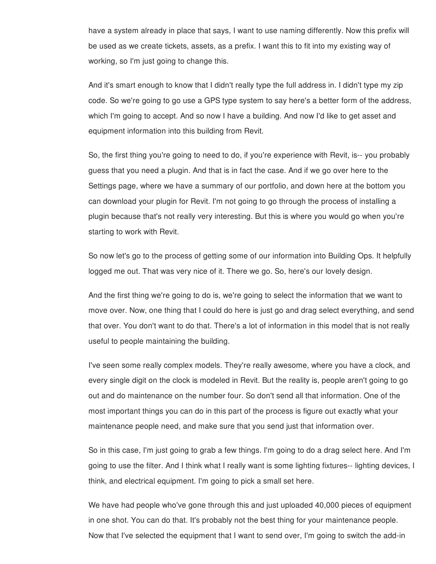have a system already in place that says, I want to use naming differently. Now this prefix will be used as we create tickets, assets, as a prefix. I want this to fit into my existing way of working, so I'm just going to change this.

And it's smart enough to know that I didn't really type the full address in. I didn't type my zip code. So we're going to go use a GPS type system to say here's a better form of the address, which I'm going to accept. And so now I have a building. And now I'd like to get asset and equipment information into this building from Revit.

So, the first thing you're going to need to do, if you're experience with Revit, is-- you probably guess that you need a plugin. And that is in fact the case. And if we go over here to the Settings page, where we have a summary of our portfolio, and down here at the bottom you can download your plugin for Revit. I'm not going to go through the process of installing a plugin because that's not really very interesting. But this is where you would go when you're starting to work with Revit.

So now let's go to the process of getting some of our information into Building Ops. It helpfully logged me out. That was very nice of it. There we go. So, here's our lovely design.

And the first thing we're going to do is, we're going to select the information that we want to move over. Now, one thing that I could do here is just go and drag select everything, and send that over. You don't want to do that. There's a lot of information in this model that is not really useful to people maintaining the building.

I've seen some really complex models. They're really awesome, where you have a clock, and every single digit on the clock is modeled in Revit. But the reality is, people aren't going to go out and do maintenance on the number four. So don't send all that information. One of the most important things you can do in this part of the process is figure out exactly what your maintenance people need, and make sure that you send just that information over.

So in this case, I'm just going to grab a few things. I'm going to do a drag select here. And I'm going to use the filter. And I think what I really want is some lighting fixtures-- lighting devices, I think, and electrical equipment. I'm going to pick a small set here.

We have had people who've gone through this and just uploaded 40,000 pieces of equipment in one shot. You can do that. It's probably not the best thing for your maintenance people. Now that I've selected the equipment that I want to send over, I'm going to switch the add-in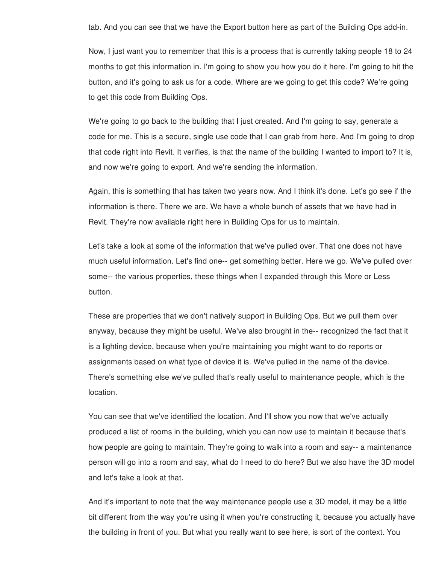tab. And you can see that we have the Export button here as part of the Building Ops add-in.

Now, I just want you to remember that this is a process that is currently taking people 18 to 24 months to get this information in. I'm going to show you how you do it here. I'm going to hit the button, and it's going to ask us for a code. Where are we going to get this code? We're going to get this code from Building Ops.

We're going to go back to the building that I just created. And I'm going to say, generate a code for me. This is a secure, single use code that I can grab from here. And I'm going to drop that code right into Revit. It verifies, is that the name of the building I wanted to import to? It is, and now we're going to export. And we're sending the information.

Again, this is something that has taken two years now. And I think it's done. Let's go see if the information is there. There we are. We have a whole bunch of assets that we have had in Revit. They're now available right here in Building Ops for us to maintain.

Let's take a look at some of the information that we've pulled over. That one does not have much useful information. Let's find one-- get something better. Here we go. We've pulled over some-- the various properties, these things when I expanded through this More or Less button.

These are properties that we don't natively support in Building Ops. But we pull them over anyway, because they might be useful. We've also brought in the-- recognized the fact that it is a lighting device, because when you're maintaining you might want to do reports or assignments based on what type of device it is. We've pulled in the name of the device. There's something else we've pulled that's really useful to maintenance people, which is the location.

You can see that we've identified the location. And I'll show you now that we've actually produced a list of rooms in the building, which you can now use to maintain it because that's how people are going to maintain. They're going to walk into a room and say-- a maintenance person will go into a room and say, what do I need to do here? But we also have the 3D model and let's take a look at that.

And it's important to note that the way maintenance people use a 3D model, it may be a little bit different from the way you're using it when you're constructing it, because you actually have the building in front of you. But what you really want to see here, is sort of the context. You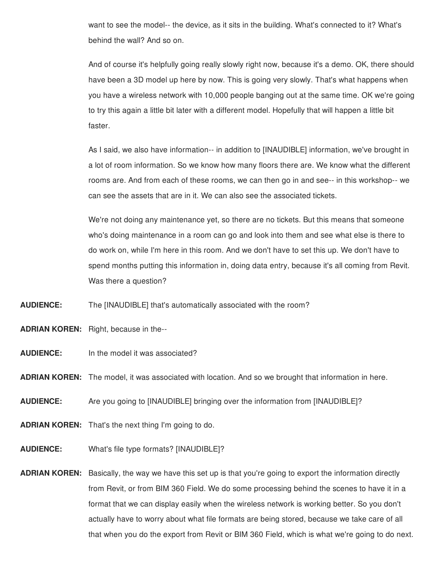want to see the model-- the device, as it sits in the building. What's connected to it? What's behind the wall? And so on.

And of course it's helpfully going really slowly right now, because it's a demo. OK, there should have been a 3D model up here by now. This is going very slowly. That's what happens when you have a wireless network with 10,000 people banging out at the same time. OK we're going to try this again a little bit later with a different model. Hopefully that will happen a little bit faster.

As I said, we also have information-- in addition to [INAUDIBLE] information, we've brought in a lot of room information. So we know how many floors there are. We know what the different rooms are. And from each of these rooms, we can then go in and see-- in this workshop-- we can see the assets that are in it. We can also see the associated tickets.

We're not doing any maintenance yet, so there are no tickets. But this means that someone who's doing maintenance in a room can go and look into them and see what else is there to do work on, while I'm here in this room. And we don't have to set this up. We don't have to spend months putting this information in, doing data entry, because it's all coming from Revit. Was there a question?

**AUDIENCE:** The [INAUDIBLE] that's automatically associated with the room?

**ADRIAN KOREN:** Right, because in the--

**AUDIENCE:** In the model it was associated?

**ADRIAN KOREN:** The model, it was associated with location. And so we brought that information in here.

**AUDIENCE:** Are you going to [INAUDIBLE] bringing over the information from [INAUDIBLE]?

**ADRIAN KOREN:** That's the next thing I'm going to do.

- **AUDIENCE:** What's file type formats? [INAUDIBLE]?
- **ADRIAN KOREN:** Basically, the way we have this set up is that you're going to export the information directly from Revit, or from BIM 360 Field. We do some processing behind the scenes to have it in a format that we can display easily when the wireless network is working better. So you don't actually have to worry about what file formats are being stored, because we take care of all that when you do the export from Revit or BIM 360 Field, which is what we're going to do next.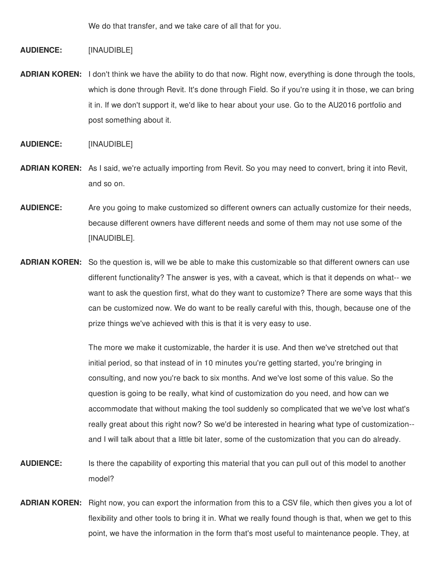We do that transfer, and we take care of all that for you.

**AUDIENCE:** [INAUDIBLE]

**ADRIAN KOREN:** I don't think we have the ability to do that now. Right now, everything is done through the tools, which is done through Revit. It's done through Field. So if you're using it in those, we can bring it in. If we don't support it, we'd like to hear about your use. Go to the AU2016 portfolio and post something about it.

**AUDIENCE:** [INAUDIBLE]

- **ADRIAN KOREN:** As I said, we're actually importing from Revit. So you may need to convert, bring it into Revit, and so on.
- **AUDIENCE:** Are you going to make customized so different owners can actually customize for their needs, because different owners have different needs and some of them may not use some of the [INAUDIBLE].
- **ADRIAN KOREN:** So the question is, will we be able to make this customizable so that different owners can use different functionality? The answer is yes, with a caveat, which is that it depends on what-- we want to ask the question first, what do they want to customize? There are some ways that this can be customized now. We do want to be really careful with this, though, because one of the prize things we've achieved with this is that it is very easy to use.

The more we make it customizable, the harder it is use. And then we've stretched out that initial period, so that instead of in 10 minutes you're getting started, you're bringing in consulting, and now you're back to six months. And we've lost some of this value. So the question is going to be really, what kind of customization do you need, and how can we accommodate that without making the tool suddenly so complicated that we we've lost what's really great about this right now? So we'd be interested in hearing what type of customization- and I will talk about that a little bit later, some of the customization that you can do already.

- **AUDIENCE:** Is there the capability of exporting this material that you can pull out of this model to another model?
- **ADRIAN KOREN:** Right now, you can export the information from this to a CSV file, which then gives you a lot of flexibility and other tools to bring it in. What we really found though is that, when we get to this point, we have the information in the form that's most useful to maintenance people. They, at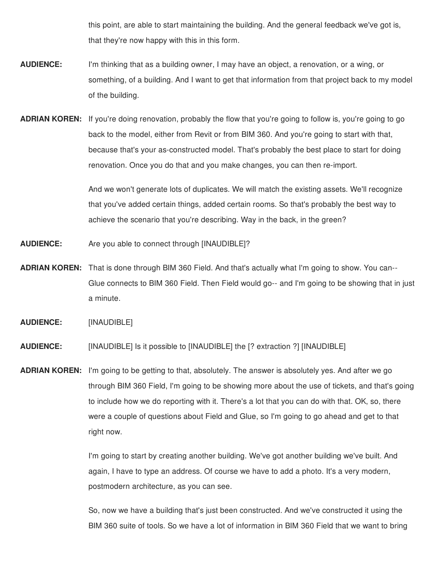this point, are able to start maintaining the building. And the general feedback we've got is, that they're now happy with this in this form.

- **AUDIENCE:** I'm thinking that as a building owner, I may have an object, a renovation, or a wing, or something, of a building. And I want to get that information from that project back to my model of the building.
- **ADRIAN KOREN:** If you're doing renovation, probably the flow that you're going to follow is, you're going to go back to the model, either from Revit or from BIM 360. And you're going to start with that, because that's your as-constructed model. That's probably the best place to start for doing renovation. Once you do that and you make changes, you can then re-import.

And we won't generate lots of duplicates. We will match the existing assets. We'll recognize that you've added certain things, added certain rooms. So that's probably the best way to achieve the scenario that you're describing. Way in the back, in the green?

- **AUDIENCE:** Are you able to connect through [INAUDIBLE]?
- **ADRIAN KOREN:** That is done through BIM 360 Field. And that's actually what I'm going to show. You can-- Glue connects to BIM 360 Field. Then Field would go-- and I'm going to be showing that in just a minute.

**AUDIENCE:** [INAUDIBLE]

**AUDIENCE:** [INAUDIBLE] Is it possible to [INAUDIBLE] the [? extraction ?] [INAUDIBLE]

**ADRIAN KOREN:** I'm going to be getting to that, absolutely. The answer is absolutely yes. And after we go through BIM 360 Field, I'm going to be showing more about the use of tickets, and that's going to include how we do reporting with it. There's a lot that you can do with that. OK, so, there were a couple of questions about Field and Glue, so I'm going to go ahead and get to that right now.

> I'm going to start by creating another building. We've got another building we've built. And again, I have to type an address. Of course we have to add a photo. It's a very modern, postmodern architecture, as you can see.

So, now we have a building that's just been constructed. And we've constructed it using the BIM 360 suite of tools. So we have a lot of information in BIM 360 Field that we want to bring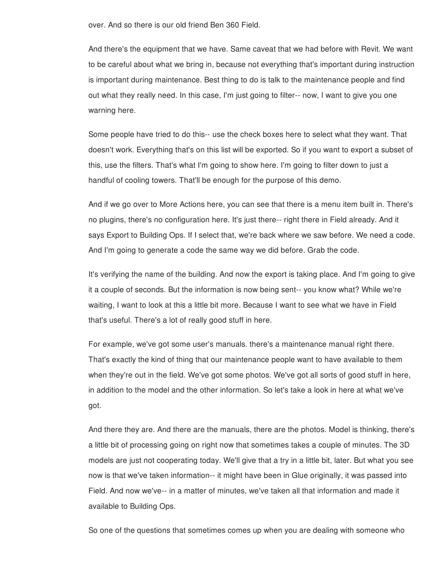over. And so there is our old friend Ben 360 Field.

And there's the equipment that we have. Same caveat that we had before with Revit. We want to be careful about what we bring in, because not everything that's important during instruction is important during maintenance. Best thing to do is talk to the maintenance people and find out what they really need. In this case, I'm just going to filter-- now, I want to give you one warning here.

Some people have tried to do this-- use the check boxes here to select what they want. That doesn't work. Everything that's on this list will be exported. So if you want to export a subset of this, use the filters. That's what I'm going to show here. I'm going to filter down to just a handful of cooling towers. That'll be enough for the purpose of this demo.

And if we go over to More Actions here, you can see that there is a menu item built in. There's no plugins, there's no configuration here. It's just there-- right there in Field already. And it says Export to Building Ops. If I select that, we're back where we saw before. We need a code. And I'm going to generate a code the same way we did before. Grab the code.

It's verifying the name of the building. And now the export is taking place. And I'm going to give it a couple of seconds. But the information is now being sent-- you know what? While we're waiting, I want to look at this a little bit more. Because I want to see what we have in Field that's useful. There's a lot of really good stuff in here.

For example, we've got some user's manuals. there's a maintenance manual right there. That's exactly the kind of thing that our maintenance people want to have available to them when they're out in the field. We've got some photos. We've got all sorts of good stuff in here, in addition to the model and the other information. So let's take a look in here at what we've got.

And there they are. And there are the manuals, there are the photos. Model is thinking, there's a little bit of processing going on right now that sometimes takes a couple of minutes. The 3D models are just not cooperating today. We'll give that a try in a little bit, later. But what you see now is that we've taken information-- it might have been in Glue originally, it was passed into Field. And now we've-- in a matter of minutes, we've taken all that information and made it available to Building Ops.

So one of the questions that sometimes comes up when you are dealing with someone who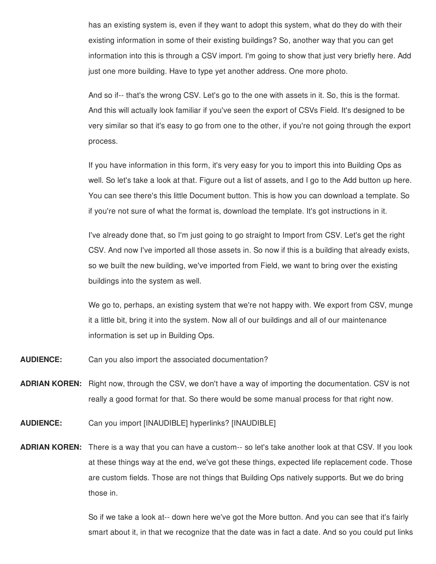has an existing system is, even if they want to adopt this system, what do they do with their existing information in some of their existing buildings? So, another way that you can get information into this is through a CSV import. I'm going to show that just very briefly here. Add just one more building. Have to type yet another address. One more photo.

And so if-- that's the wrong CSV. Let's go to the one with assets in it. So, this is the format. And this will actually look familiar if you've seen the export of CSVs Field. It's designed to be very similar so that it's easy to go from one to the other, if you're not going through the export process.

If you have information in this form, it's very easy for you to import this into Building Ops as well. So let's take a look at that. Figure out a list of assets, and I go to the Add button up here. You can see there's this little Document button. This is how you can download a template. So if you're not sure of what the format is, download the template. It's got instructions in it.

I've already done that, so I'm just going to go straight to Import from CSV. Let's get the right CSV. And now I've imported all those assets in. So now if this is a building that already exists, so we built the new building, we've imported from Field, we want to bring over the existing buildings into the system as well.

We go to, perhaps, an existing system that we're not happy with. We export from CSV, munge it a little bit, bring it into the system. Now all of our buildings and all of our maintenance information is set up in Building Ops.

- **AUDIENCE:** Can you also import the associated documentation?
- **ADRIAN KOREN:** Right now, through the CSV, we don't have a way of importing the documentation. CSV is not really a good format for that. So there would be some manual process for that right now.
- **AUDIENCE:** Can you import [INAUDIBLE] hyperlinks? [INAUDIBLE]
- **ADRIAN KOREN:** There is a way that you can have a custom-- so let's take another look at that CSV. If you look at these things way at the end, we've got these things, expected life replacement code. Those are custom fields. Those are not things that Building Ops natively supports. But we do bring those in.

So if we take a look at-- down here we've got the More button. And you can see that it's fairly smart about it, in that we recognize that the date was in fact a date. And so you could put links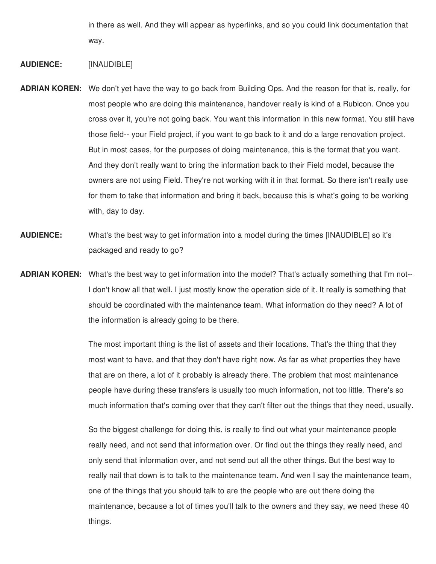in there as well. And they will appear as hyperlinks, and so you could link documentation that way.

## **AUDIENCE:** [INAUDIBLE]

- **ADRIAN KOREN:** We don't yet have the way to go back from Building Ops. And the reason for that is, really, for most people who are doing this maintenance, handover really is kind of a Rubicon. Once you cross over it, you're not going back. You want this information in this new format. You still have those field-- your Field project, if you want to go back to it and do a large renovation project. But in most cases, for the purposes of doing maintenance, this is the format that you want. And they don't really want to bring the information back to their Field model, because the owners are not using Field. They're not working with it in that format. So there isn't really use for them to take that information and bring it back, because this is what's going to be working with, day to day.
- **AUDIENCE:** What's the best way to get information into a model during the times [INAUDIBLE] so it's packaged and ready to go?
- **ADRIAN KOREN:** What's the best way to get information into the model? That's actually something that I'm not-- I don't know all that well. I just mostly know the operation side of it. It really is something that should be coordinated with the maintenance team. What information do they need? A lot of the information is already going to be there.

The most important thing is the list of assets and their locations. That's the thing that they most want to have, and that they don't have right now. As far as what properties they have that are on there, a lot of it probably is already there. The problem that most maintenance people have during these transfers is usually too much information, not too little. There's so much information that's coming over that they can't filter out the things that they need, usually.

So the biggest challenge for doing this, is really to find out what your maintenance people really need, and not send that information over. Or find out the things they really need, and only send that information over, and not send out all the other things. But the best way to really nail that down is to talk to the maintenance team. And wen I say the maintenance team, one of the things that you should talk to are the people who are out there doing the maintenance, because a lot of times you'll talk to the owners and they say, we need these 40 things.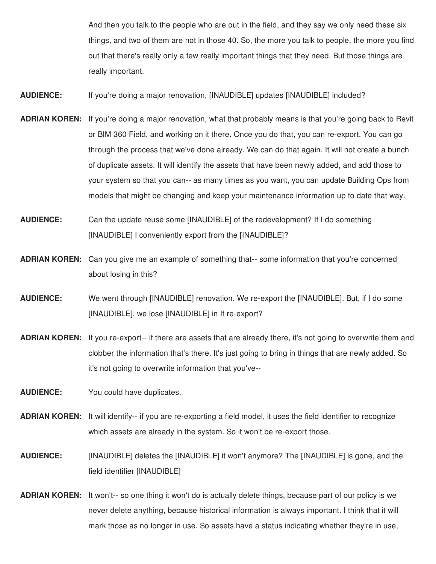And then you talk to the people who are out in the field, and they say we only need these six things, and two of them are not in those 40. So, the more you talk to people, the more you find out that there's really only a few really important things that they need. But those things are really important.

**AUDIENCE:** If you're doing a major renovation, [INAUDIBLE] updates [INAUDIBLE] included?

- **ADRIAN KOREN:** If you're doing a major renovation, what that probably means is that you're going back to Revit or BIM 360 Field, and working on it there. Once you do that, you can re-export. You can go through the process that we've done already. We can do that again. It will not create a bunch of duplicate assets. It will identify the assets that have been newly added, and add those to your system so that you can-- as many times as you want, you can update Building Ops from models that might be changing and keep your maintenance information up to date that way.
- **AUDIENCE:** Can the update reuse some [INAUDIBLE] of the redevelopment? If I do something [INAUDIBLE] I conveniently export from the [INAUDIBLE]?
- **ADRIAN KOREN:** Can you give me an example of something that-- some information that you're concerned about losing in this?
- **AUDIENCE:** We went through [INAUDIBLE] renovation. We re-export the [INAUDIBLE]. But, if I do some [INAUDIBLE], we lose [INAUDIBLE] in If re-export?
- **ADRIAN KOREN:** If you re-export-- if there are assets that are already there, it's not going to overwrite them and clobber the information that's there. It's just going to bring in things that are newly added. So it's not going to overwrite information that you've--
- **AUDIENCE:** You could have duplicates.
- **ADRIAN KOREN:** It will identify-- if you are re-exporting a field model, it uses the field identifier to recognize which assets are already in the system. So it won't be re-export those.
- **AUDIENCE:** [INAUDIBLE] deletes the [INAUDIBLE] it won't anymore? The [INAUDIBLE] is gone, and the field identifier [INAUDIBLE]
- **ADRIAN KOREN:** It won't-- so one thing it won't do is actually delete things, because part of our policy is we never delete anything, because historical information is always important. I think that it will mark those as no longer in use. So assets have a status indicating whether they're in use,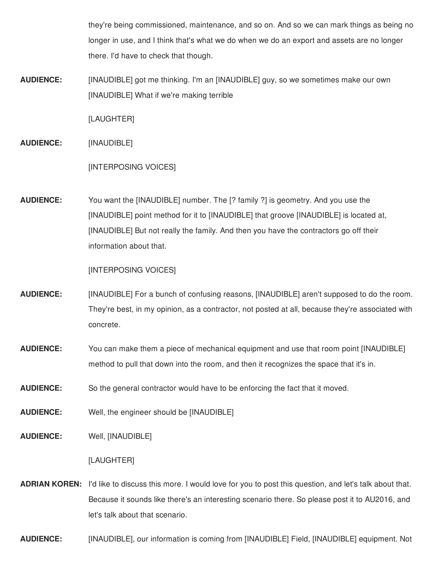they're being commissioned, maintenance, and so on. And so we can mark things as being no longer in use, and I think that's what we do when we do an export and assets are no longer there. I'd have to check that though.

**AUDIENCE:** [INAUDIBLE] got me thinking. I'm an [INAUDIBLE] guy, so we sometimes make our own [INAUDIBLE] What if we're making terrible

[LAUGHTER]

**AUDIENCE:** [INAUDIBLE]

[INTERPOSING VOICES]

**AUDIENCE:** You want the [INAUDIBLE] number. The [? family ?] is geometry. And you use the [INAUDIBLE] point method for it to [INAUDIBLE] that groove [INAUDIBLE] is located at, [INAUDIBLE] But not really the family. And then you have the contractors go off their information about that.

[INTERPOSING VOICES]

- **AUDIENCE:** [INAUDIBLE] For a bunch of confusing reasons, [INAUDIBLE] aren't supposed to do the room. They're best, in my opinion, as a contractor, not posted at all, because they're associated with concrete.
- **AUDIENCE:** You can make them a piece of mechanical equipment and use that room point [INAUDIBLE] method to pull that down into the room, and then it recognizes the space that it's in.
- **AUDIENCE:** So the general contractor would have to be enforcing the fact that it moved.
- **AUDIENCE:** Well, the engineer should be [INAUDIBLE]

**AUDIENCE:** Well, [INAUDIBLE]

## [LAUGHTER]

**ADRIAN KOREN:** I'd like to discuss this more. I would love for you to post this question, and let's talk about that. Because it sounds like there's an interesting scenario there. So please post it to AU2016, and let's talk about that scenario.

**AUDIENCE:** [INAUDIBLE], our information is coming from [INAUDIBLE] Field, [INAUDIBLE] equipment. Not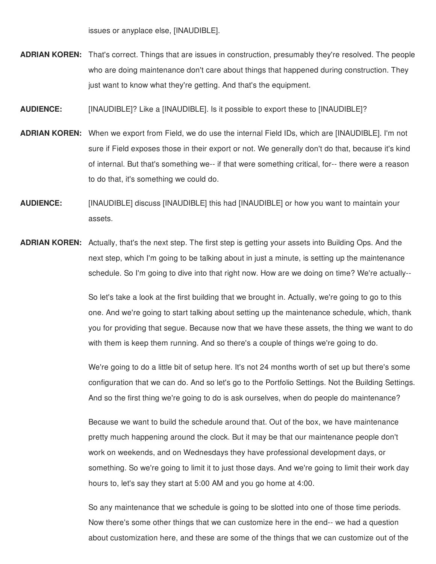issues or anyplace else, [INAUDIBLE].

- **ADRIAN KOREN:** That's correct. Things that are issues in construction, presumably they're resolved. The people who are doing maintenance don't care about things that happened during construction. They just want to know what they're getting. And that's the equipment.
- **AUDIENCE:** [INAUDIBLE]? Like a [INAUDIBLE]. Is it possible to export these to [INAUDIBLE]?
- **ADRIAN KOREN:** When we export from Field, we do use the internal Field IDs, which are [INAUDIBLE]. I'm not sure if Field exposes those in their export or not. We generally don't do that, because it's kind of internal. But that's something we-- if that were something critical, for-- there were a reason to do that, it's something we could do.
- **AUDIENCE:** [INAUDIBLE] discuss [INAUDIBLE] this had [INAUDIBLE] or how you want to maintain your assets.
- **ADRIAN KOREN:** Actually, that's the next step. The first step is getting your assets into Building Ops. And the next step, which I'm going to be talking about in just a minute, is setting up the maintenance schedule. So I'm going to dive into that right now. How are we doing on time? We're actually--

So let's take a look at the first building that we brought in. Actually, we're going to go to this one. And we're going to start talking about setting up the maintenance schedule, which, thank you for providing that segue. Because now that we have these assets, the thing we want to do with them is keep them running. And so there's a couple of things we're going to do.

We're going to do a little bit of setup here. It's not 24 months worth of set up but there's some configuration that we can do. And so let's go to the Portfolio Settings. Not the Building Settings. And so the first thing we're going to do is ask ourselves, when do people do maintenance?

Because we want to build the schedule around that. Out of the box, we have maintenance pretty much happening around the clock. But it may be that our maintenance people don't work on weekends, and on Wednesdays they have professional development days, or something. So we're going to limit it to just those days. And we're going to limit their work day hours to, let's say they start at 5:00 AM and you go home at 4:00.

So any maintenance that we schedule is going to be slotted into one of those time periods. Now there's some other things that we can customize here in the end-- we had a question about customization here, and these are some of the things that we can customize out of the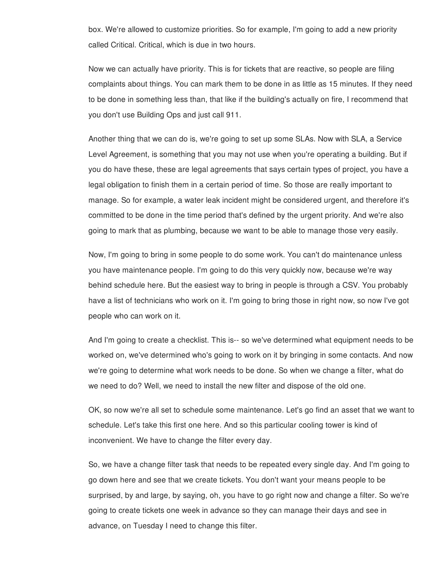box. We're allowed to customize priorities. So for example, I'm going to add a new priority called Critical. Critical, which is due in two hours.

Now we can actually have priority. This is for tickets that are reactive, so people are filing complaints about things. You can mark them to be done in as little as 15 minutes. If they need to be done in something less than, that like if the building's actually on fire, I recommend that you don't use Building Ops and just call 911.

Another thing that we can do is, we're going to set up some SLAs. Now with SLA, a Service Level Agreement, is something that you may not use when you're operating a building. But if you do have these, these are legal agreements that says certain types of project, you have a legal obligation to finish them in a certain period of time. So those are really important to manage. So for example, a water leak incident might be considered urgent, and therefore it's committed to be done in the time period that's defined by the urgent priority. And we're also going to mark that as plumbing, because we want to be able to manage those very easily.

Now, I'm going to bring in some people to do some work. You can't do maintenance unless you have maintenance people. I'm going to do this very quickly now, because we're way behind schedule here. But the easiest way to bring in people is through a CSV. You probably have a list of technicians who work on it. I'm going to bring those in right now, so now I've got people who can work on it.

And I'm going to create a checklist. This is-- so we've determined what equipment needs to be worked on, we've determined who's going to work on it by bringing in some contacts. And now we're going to determine what work needs to be done. So when we change a filter, what do we need to do? Well, we need to install the new filter and dispose of the old one.

OK, so now we're all set to schedule some maintenance. Let's go find an asset that we want to schedule. Let's take this first one here. And so this particular cooling tower is kind of inconvenient. We have to change the filter every day.

So, we have a change filter task that needs to be repeated every single day. And I'm going to go down here and see that we create tickets. You don't want your means people to be surprised, by and large, by saying, oh, you have to go right now and change a filter. So we're going to create tickets one week in advance so they can manage their days and see in advance, on Tuesday I need to change this filter.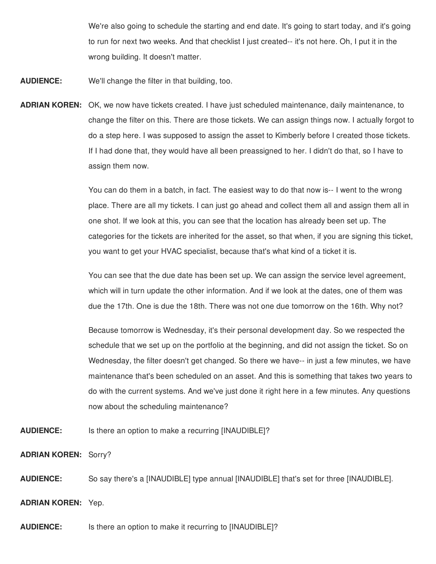We're also going to schedule the starting and end date. It's going to start today, and it's going to run for next two weeks. And that checklist I just created-- it's not here. Oh, I put it in the wrong building. It doesn't matter.

**AUDIENCE:** We'll change the filter in that building, too.

**ADRIAN KOREN:** OK, we now have tickets created. I have just scheduled maintenance, daily maintenance, to change the filter on this. There are those tickets. We can assign things now. I actually forgot to do a step here. I was supposed to assign the asset to Kimberly before I created those tickets. If I had done that, they would have all been preassigned to her. I didn't do that, so I have to assign them now.

> You can do them in a batch, in fact. The easiest way to do that now is-- I went to the wrong place. There are all my tickets. I can just go ahead and collect them all and assign them all in one shot. If we look at this, you can see that the location has already been set up. The categories for the tickets are inherited for the asset, so that when, if you are signing this ticket, you want to get your HVAC specialist, because that's what kind of a ticket it is.

You can see that the due date has been set up. We can assign the service level agreement, which will in turn update the other information. And if we look at the dates, one of them was due the 17th. One is due the 18th. There was not one due tomorrow on the 16th. Why not?

Because tomorrow is Wednesday, it's their personal development day. So we respected the schedule that we set up on the portfolio at the beginning, and did not assign the ticket. So on Wednesday, the filter doesn't get changed. So there we have-- in just a few minutes, we have maintenance that's been scheduled on an asset. And this is something that takes two years to do with the current systems. And we've just done it right here in a few minutes. Any questions now about the scheduling maintenance?

**AUDIENCE:** Is there an option to make a recurring [INAUDIBLE]?

**ADRIAN KOREN:** Sorry?

**AUDIENCE:** So say there's a [INAUDIBLE] type annual [INAUDIBLE] that's set for three [INAUDIBLE].

**ADRIAN KOREN:** Yep.

**AUDIENCE:** Is there an option to make it recurring to [INAUDIBLE]?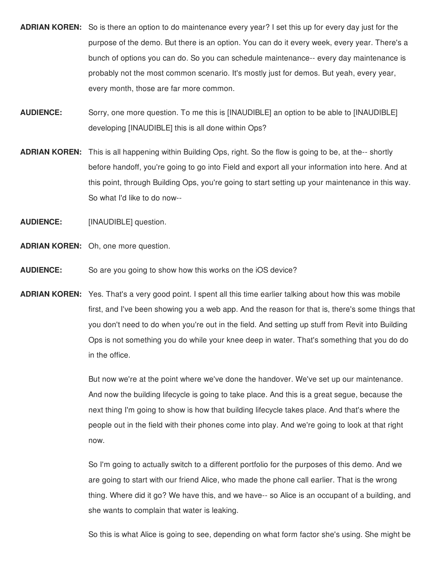- **ADRIAN KOREN:** So is there an option to do maintenance every year? I set this up for every day just for the purpose of the demo. But there is an option. You can do it every week, every year. There's a bunch of options you can do. So you can schedule maintenance-- every day maintenance is probably not the most common scenario. It's mostly just for demos. But yeah, every year, every month, those are far more common.
- **AUDIENCE:** Sorry, one more question. To me this is [INAUDIBLE] an option to be able to [INAUDIBLE] developing [INAUDIBLE] this is all done within Ops?
- **ADRIAN KOREN:** This is all happening within Building Ops, right. So the flow is going to be, at the-- shortly before handoff, you're going to go into Field and export all your information into here. And at this point, through Building Ops, you're going to start setting up your maintenance in this way. So what I'd like to do now--
- **AUDIENCE:** [INAUDIBLE] question.
- **ADRIAN KOREN:** Oh, one more question.
- **AUDIENCE:** So are you going to show how this works on the iOS device?
- **ADRIAN KOREN:** Yes. That's a very good point. I spent all this time earlier talking about how this was mobile first, and I've been showing you a web app. And the reason for that is, there's some things that you don't need to do when you're out in the field. And setting up stuff from Revit into Building Ops is not something you do while your knee deep in water. That's something that you do do in the office.

But now we're at the point where we've done the handover. We've set up our maintenance. And now the building lifecycle is going to take place. And this is a great segue, because the next thing I'm going to show is how that building lifecycle takes place. And that's where the people out in the field with their phones come into play. And we're going to look at that right now.

So I'm going to actually switch to a different portfolio for the purposes of this demo. And we are going to start with our friend Alice, who made the phone call earlier. That is the wrong thing. Where did it go? We have this, and we have-- so Alice is an occupant of a building, and she wants to complain that water is leaking.

So this is what Alice is going to see, depending on what form factor she's using. She might be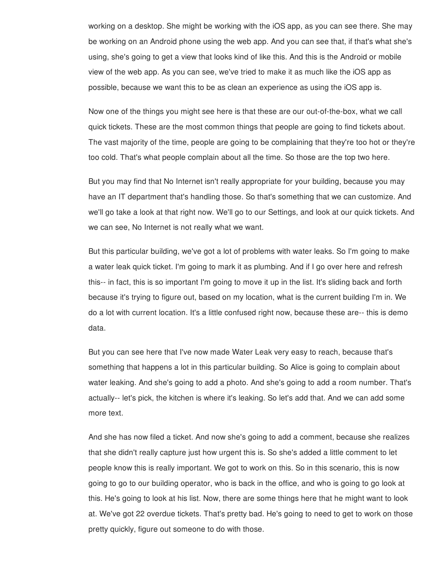working on a desktop. She might be working with the iOS app, as you can see there. She may be working on an Android phone using the web app. And you can see that, if that's what she's using, she's going to get a view that looks kind of like this. And this is the Android or mobile view of the web app. As you can see, we've tried to make it as much like the iOS app as possible, because we want this to be as clean an experience as using the iOS app is.

Now one of the things you might see here is that these are our out-of-the-box, what we call quick tickets. These are the most common things that people are going to find tickets about. The vast majority of the time, people are going to be complaining that they're too hot or they're too cold. That's what people complain about all the time. So those are the top two here.

But you may find that No Internet isn't really appropriate for your building, because you may have an IT department that's handling those. So that's something that we can customize. And we'll go take a look at that right now. We'll go to our Settings, and look at our quick tickets. And we can see, No Internet is not really what we want.

But this particular building, we've got a lot of problems with water leaks. So I'm going to make a water leak quick ticket. I'm going to mark it as plumbing. And if I go over here and refresh this-- in fact, this is so important I'm going to move it up in the list. It's sliding back and forth because it's trying to figure out, based on my location, what is the current building I'm in. We do a lot with current location. It's a little confused right now, because these are-- this is demo data.

But you can see here that I've now made Water Leak very easy to reach, because that's something that happens a lot in this particular building. So Alice is going to complain about water leaking. And she's going to add a photo. And she's going to add a room number. That's actually-- let's pick, the kitchen is where it's leaking. So let's add that. And we can add some more text.

And she has now filed a ticket. And now she's going to add a comment, because she realizes that she didn't really capture just how urgent this is. So she's added a little comment to let people know this is really important. We got to work on this. So in this scenario, this is now going to go to our building operator, who is back in the office, and who is going to go look at this. He's going to look at his list. Now, there are some things here that he might want to look at. We've got 22 overdue tickets. That's pretty bad. He's going to need to get to work on those pretty quickly, figure out someone to do with those.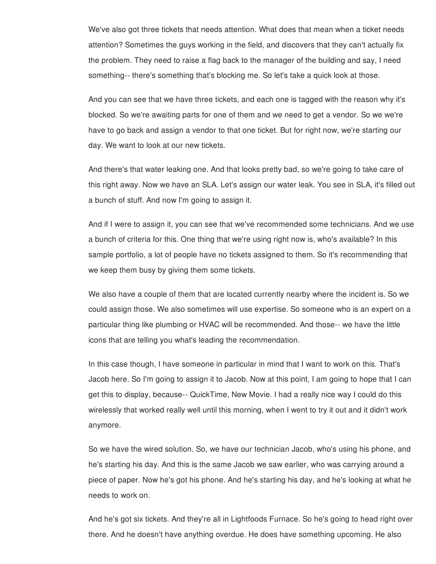We've also got three tickets that needs attention. What does that mean when a ticket needs attention? Sometimes the guys working in the field, and discovers that they can't actually fix the problem. They need to raise a flag back to the manager of the building and say, I need something-- there's something that's blocking me. So let's take a quick look at those.

And you can see that we have three tickets, and each one is tagged with the reason why it's blocked. So we're awaiting parts for one of them and we need to get a vendor. So we we're have to go back and assign a vendor to that one ticket. But for right now, we're starting our day. We want to look at our new tickets.

And there's that water leaking one. And that looks pretty bad, so we're going to take care of this right away. Now we have an SLA. Let's assign our water leak. You see in SLA, it's filled out a bunch of stuff. And now I'm going to assign it.

And if I were to assign it, you can see that we've recommended some technicians. And we use a bunch of criteria for this. One thing that we're using right now is, who's available? In this sample portfolio, a lot of people have no tickets assigned to them. So it's recommending that we keep them busy by giving them some tickets.

We also have a couple of them that are located currently nearby where the incident is. So we could assign those. We also sometimes will use expertise. So someone who is an expert on a particular thing like plumbing or HVAC will be recommended. And those-- we have the little icons that are telling you what's leading the recommendation.

In this case though, I have someone in particular in mind that I want to work on this. That's Jacob here. So I'm going to assign it to Jacob. Now at this point, I am going to hope that I can get this to display, because-- QuickTime, New Movie. I had a really nice way I could do this wirelessly that worked really well until this morning, when I went to try it out and it didn't work anymore.

So we have the wired solution. So, we have our technician Jacob, who's using his phone, and he's starting his day. And this is the same Jacob we saw earlier, who was carrying around a piece of paper. Now he's got his phone. And he's starting his day, and he's looking at what he needs to work on.

And he's got six tickets. And they're all in Lightfoods Furnace. So he's going to head right over there. And he doesn't have anything overdue. He does have something upcoming. He also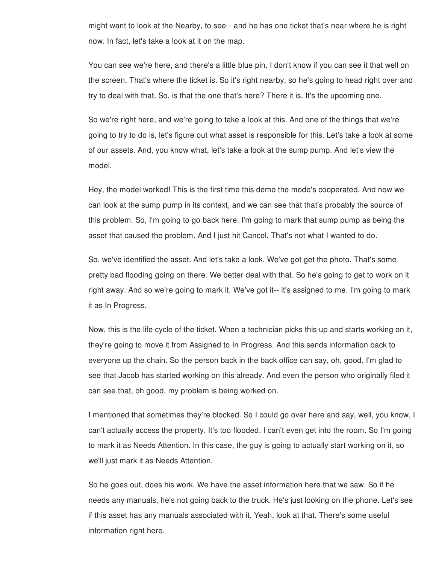might want to look at the Nearby, to see-- and he has one ticket that's near where he is right now. In fact, let's take a look at it on the map.

You can see we're here, and there's a little blue pin. I don't know if you can see it that well on the screen. That's where the ticket is. So it's right nearby, so he's going to head right over and try to deal with that. So, is that the one that's here? There it is. It's the upcoming one.

So we're right here, and we're going to take a look at this. And one of the things that we're going to try to do is, let's figure out what asset is responsible for this. Let's take a look at some of our assets. And, you know what, let's take a look at the sump pump. And let's view the model.

Hey, the model worked! This is the first time this demo the mode's cooperated. And now we can look at the sump pump in its context, and we can see that that's probably the source of this problem. So, I'm going to go back here. I'm going to mark that sump pump as being the asset that caused the problem. And I just hit Cancel. That's not what I wanted to do.

So, we've identified the asset. And let's take a look. We've got get the photo. That's some pretty bad flooding going on there. We better deal with that. So he's going to get to work on it right away. And so we're going to mark it. We've got it-- it's assigned to me. I'm going to mark it as In Progress.

Now, this is the life cycle of the ticket. When a technician picks this up and starts working on it, they're going to move it from Assigned to In Progress. And this sends information back to everyone up the chain. So the person back in the back office can say, oh, good. I'm glad to see that Jacob has started working on this already. And even the person who originally filed it can see that, oh good, my problem is being worked on.

I mentioned that sometimes they're blocked. So I could go over here and say, well, you know, I can't actually access the property. It's too flooded. I can't even get into the room. So I'm going to mark it as Needs Attention. In this case, the guy is going to actually start working on it, so we'll just mark it as Needs Attention.

So he goes out, does his work. We have the asset information here that we saw. So if he needs any manuals, he's not going back to the truck. He's just looking on the phone. Let's see if this asset has any manuals associated with it. Yeah, look at that. There's some useful information right here.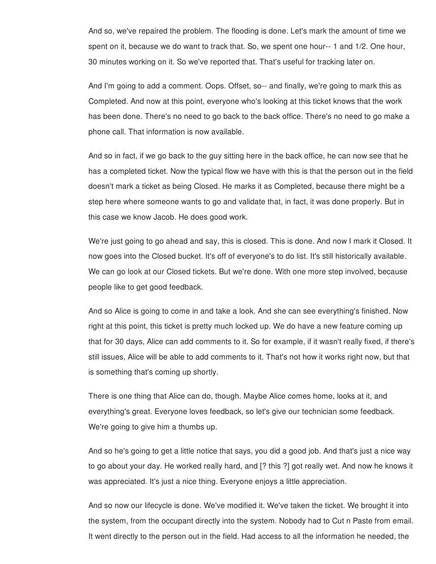And so, we've repaired the problem. The flooding is done. Let's mark the amount of time we spent on it, because we do want to track that. So, we spent one hour-- 1 and 1/2. One hour, 30 minutes working on it. So we've reported that. That's useful for tracking later on.

And I'm going to add a comment. Oops. Offset, so-- and finally, we're going to mark this as Completed. And now at this point, everyone who's looking at this ticket knows that the work has been done. There's no need to go back to the back office. There's no need to go make a phone call. That information is now available.

And so in fact, if we go back to the guy sitting here in the back office, he can now see that he has a completed ticket. Now the typical flow we have with this is that the person out in the field doesn't mark a ticket as being Closed. He marks it as Completed, because there might be a step here where someone wants to go and validate that, in fact, it was done properly. But in this case we know Jacob. He does good work.

We're just going to go ahead and say, this is closed. This is done. And now I mark it Closed. It now goes into the Closed bucket. It's off of everyone's to do list. It's still historically available. We can go look at our Closed tickets. But we're done. With one more step involved, because people like to get good feedback.

And so Alice is going to come in and take a look. And she can see everything's finished. Now right at this point, this ticket is pretty much locked up. We do have a new feature coming up that for 30 days, Alice can add comments to it. So for example, if it wasn't really fixed, if there's still issues, Alice will be able to add comments to it. That's not how it works right now, but that is something that's coming up shortly.

There is one thing that Alice can do, though. Maybe Alice comes home, looks at it, and everything's great. Everyone loves feedback, so let's give our technician some feedback. We're going to give him a thumbs up.

And so he's going to get a little notice that says, you did a good job. And that's just a nice way to go about your day. He worked really hard, and [? this ?] got really wet. And now he knows it was appreciated. It's just a nice thing. Everyone enjoys a little appreciation.

And so now our lifecycle is done. We've modified it. We've taken the ticket. We brought it into the system, from the occupant directly into the system. Nobody had to Cut n Paste from email. It went directly to the person out in the field. Had access to all the information he needed, the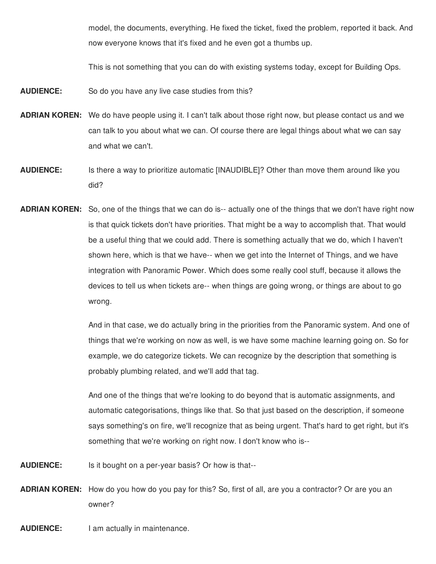model, the documents, everything. He fixed the ticket, fixed the problem, reported it back. And now everyone knows that it's fixed and he even got a thumbs up.

This is not something that you can do with existing systems today, except for Building Ops.

- **AUDIENCE:** So do you have any live case studies from this?
- **ADRIAN KOREN:** We do have people using it. I can't talk about those right now, but please contact us and we can talk to you about what we can. Of course there are legal things about what we can say and what we can't.
- **AUDIENCE:** Is there a way to prioritize automatic [INAUDIBLE]? Other than move them around like you did?
- **ADRIAN KOREN:** So, one of the things that we can do is-- actually one of the things that we don't have right now is that quick tickets don't have priorities. That might be a way to accomplish that. That would be a useful thing that we could add. There is something actually that we do, which I haven't shown here, which is that we have-- when we get into the Internet of Things, and we have integration with Panoramic Power. Which does some really cool stuff, because it allows the devices to tell us when tickets are-- when things are going wrong, or things are about to go wrong.

And in that case, we do actually bring in the priorities from the Panoramic system. And one of things that we're working on now as well, is we have some machine learning going on. So for example, we do categorize tickets. We can recognize by the description that something is probably plumbing related, and we'll add that tag.

And one of the things that we're looking to do beyond that is automatic assignments, and automatic categorisations, things like that. So that just based on the description, if someone says something's on fire, we'll recognize that as being urgent. That's hard to get right, but it's something that we're working on right now. I don't know who is--

- **AUDIENCE:** Is it bought on a per-year basis? Or how is that--
- **ADRIAN KOREN:** How do you how do you pay for this? So, first of all, are you a contractor? Or are you an owner?
- **AUDIENCE:** I am actually in maintenance.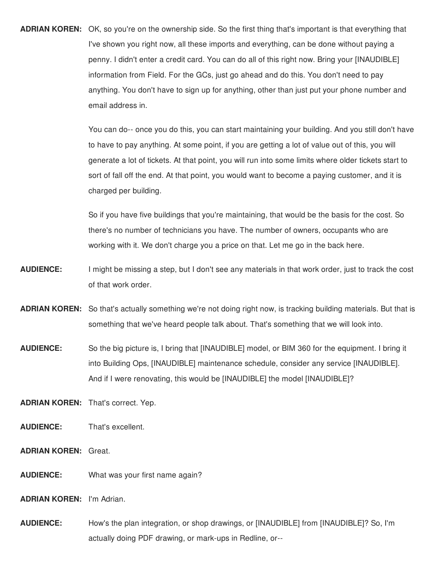**ADRIAN KOREN:** OK, so you're on the ownership side. So the first thing that's important is that everything that I've shown you right now, all these imports and everything, can be done without paying a penny. I didn't enter a credit card. You can do all of this right now. Bring your [INAUDIBLE] information from Field. For the GCs, just go ahead and do this. You don't need to pay anything. You don't have to sign up for anything, other than just put your phone number and email address in.

> You can do-- once you do this, you can start maintaining your building. And you still don't have to have to pay anything. At some point, if you are getting a lot of value out of this, you will generate a lot of tickets. At that point, you will run into some limits where older tickets start to sort of fall off the end. At that point, you would want to become a paying customer, and it is charged per building.

So if you have five buildings that you're maintaining, that would be the basis for the cost. So there's no number of technicians you have. The number of owners, occupants who are working with it. We don't charge you a price on that. Let me go in the back here.

- **AUDIENCE:** I might be missing a step, but I don't see any materials in that work order, just to track the cost of that work order.
- **ADRIAN KOREN:** So that's actually something we're not doing right now, is tracking building materials. But that is something that we've heard people talk about. That's something that we will look into.
- **AUDIENCE:** So the big picture is, I bring that [INAUDIBLE] model, or BIM 360 for the equipment. I bring it into Building Ops, [INAUDIBLE] maintenance schedule, consider any service [INAUDIBLE]. And if I were renovating, this would be [INAUDIBLE] the model [INAUDIBLE]?

**ADRIAN KOREN:** That's correct. Yep.

- **AUDIENCE:** That's excellent.
- **ADRIAN KOREN:** Great.
- **AUDIENCE:** What was your first name again?
- **ADRIAN KOREN:** I'm Adrian.
- **AUDIENCE:** How's the plan integration, or shop drawings, or [INAUDIBLE] from [INAUDIBLE]? So, I'm actually doing PDF drawing, or mark-ups in Redline, or--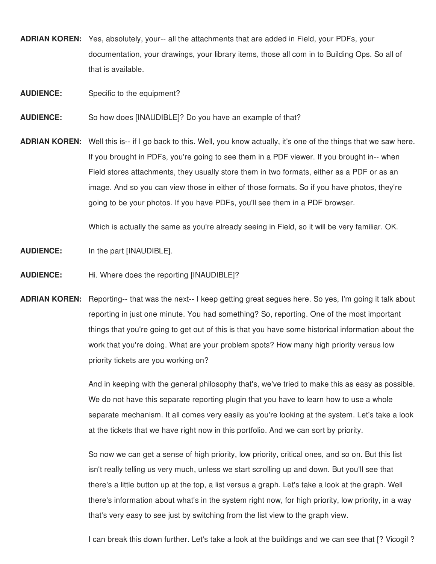- **ADRIAN KOREN:** Yes, absolutely, your-- all the attachments that are added in Field, your PDFs, your documentation, your drawings, your library items, those all com in to Building Ops. So all of that is available.
- **AUDIENCE:** Specific to the equipment?
- **AUDIENCE:** So how does [INAUDIBLE]? Do you have an example of that?
- **ADRIAN KOREN:** Well this is-- if I go back to this. Well, you know actually, it's one of the things that we saw here. If you brought in PDFs, you're going to see them in a PDF viewer. If you brought in-- when Field stores attachments, they usually store them in two formats, either as a PDF or as an image. And so you can view those in either of those formats. So if you have photos, they're going to be your photos. If you have PDFs, you'll see them in a PDF browser.

Which is actually the same as you're already seeing in Field, so it will be very familiar. OK.

- **AUDIENCE:** In the part [INAUDIBLE].
- **AUDIENCE:** Hi. Where does the reporting [INAUDIBLE]?
- **ADRIAN KOREN:** Reporting-- that was the next-- I keep getting great segues here. So yes, I'm going it talk about reporting in just one minute. You had something? So, reporting. One of the most important things that you're going to get out of this is that you have some historical information about the work that you're doing. What are your problem spots? How many high priority versus low priority tickets are you working on?

And in keeping with the general philosophy that's, we've tried to make this as easy as possible. We do not have this separate reporting plugin that you have to learn how to use a whole separate mechanism. It all comes very easily as you're looking at the system. Let's take a look at the tickets that we have right now in this portfolio. And we can sort by priority.

So now we can get a sense of high priority, low priority, critical ones, and so on. But this list isn't really telling us very much, unless we start scrolling up and down. But you'll see that there's a little button up at the top, a list versus a graph. Let's take a look at the graph. Well there's information about what's in the system right now, for high priority, low priority, in a way that's very easy to see just by switching from the list view to the graph view.

I can break this down further. Let's take a look at the buildings and we can see that [? Vicogil ?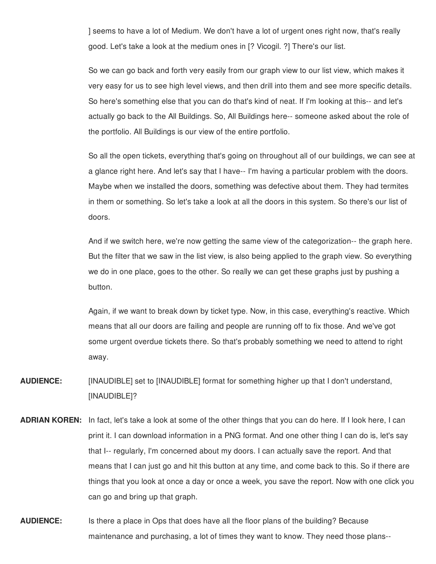] seems to have a lot of Medium. We don't have a lot of urgent ones right now, that's really good. Let's take a look at the medium ones in [? Vicogil. ?] There's our list.

So we can go back and forth very easily from our graph view to our list view, which makes it very easy for us to see high level views, and then drill into them and see more specific details. So here's something else that you can do that's kind of neat. If I'm looking at this-- and let's actually go back to the All Buildings. So, All Buildings here-- someone asked about the role of the portfolio. All Buildings is our view of the entire portfolio.

So all the open tickets, everything that's going on throughout all of our buildings, we can see at a glance right here. And let's say that I have-- I'm having a particular problem with the doors. Maybe when we installed the doors, something was defective about them. They had termites in them or something. So let's take a look at all the doors in this system. So there's our list of doors.

And if we switch here, we're now getting the same view of the categorization-- the graph here. But the filter that we saw in the list view, is also being applied to the graph view. So everything we do in one place, goes to the other. So really we can get these graphs just by pushing a button.

Again, if we want to break down by ticket type. Now, in this case, everything's reactive. Which means that all our doors are failing and people are running off to fix those. And we've got some urgent overdue tickets there. So that's probably something we need to attend to right away.

**AUDIENCE:** [INAUDIBLE] set to [INAUDIBLE] format for something higher up that I don't understand, [INAUDIBLE]?

- **ADRIAN KOREN:** In fact, let's take a look at some of the other things that you can do here. If I look here, I can print it. I can download information in a PNG format. And one other thing I can do is, let's say that I-- regularly, I'm concerned about my doors. I can actually save the report. And that means that I can just go and hit this button at any time, and come back to this. So if there are things that you look at once a day or once a week, you save the report. Now with one click you can go and bring up that graph.
- **AUDIENCE:** Is there a place in Ops that does have all the floor plans of the building? Because maintenance and purchasing, a lot of times they want to know. They need those plans--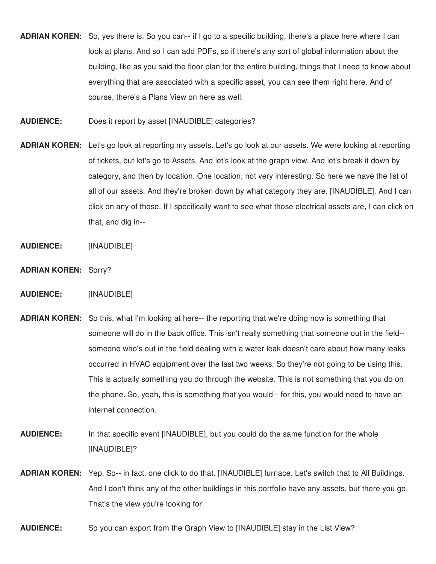- **ADRIAN KOREN:** So, yes there is. So you can-- if I go to a specific building, there's a place here where I can look at plans. And so I can add PDFs, so if there's any sort of global information about the building, like as you said the floor plan for the entire building, things that I need to know about everything that are associated with a specific asset, you can see them right here. And of course, there's a Plans View on here as well.
- **AUDIENCE:** Does it report by asset [INAUDIBLE] categories?
- **ADRIAN KOREN:** Let's go look at reporting my assets. Let's go look at our assets. We were looking at reporting of tickets, but let's go to Assets. And let's look at the graph view. And let's break it down by category, and then by location. One location, not very interesting. So here we have the list of all of our assets. And they're broken down by what category they are. [INAUDIBLE]. And I can click on any of those. If I specifically want to see what those electrical assets are, I can click on that, and dig in--
- **AUDIENCE:** [INAUDIBLE]
- **ADRIAN KOREN:** Sorry?
- **AUDIENCE:** [INAUDIBLE]
- **ADRIAN KOREN:** So this, what I'm looking at here-- the reporting that we're doing now is something that someone will do in the back office. This isn't really something that someone out in the field- someone who's out in the field dealing with a water leak doesn't care about how many leaks occurred in HVAC equipment over the last two weeks. So they're not going to be using this. This is actually something you do through the website. This is not something that you do on the phone. So, yeah, this is something that you would-- for this, you would need to have an internet connection.
- **AUDIENCE:** In that specific event [INAUDIBLE], but you could do the same function for the whole [INAUDIBLE]?
- **ADRIAN KOREN:** Yep. So-- in fact, one click to do that. [INAUDIBLE] furnace. Let's switch that to All Buildings. And I don't think any of the other buildings in this portfolio have any assets, but there you go. That's the view you're looking for.
- **AUDIENCE:** So you can export from the Graph View to [INAUDIBLE] stay in the List View?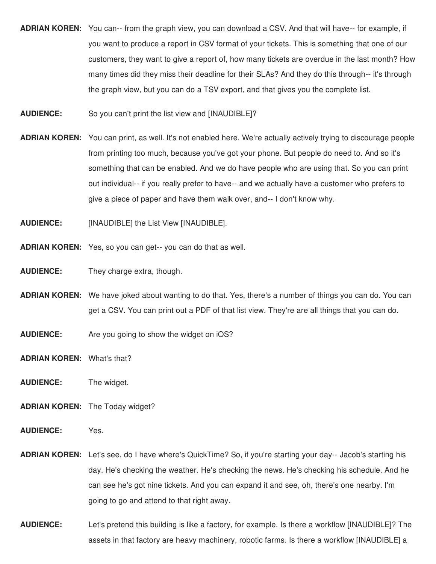- **ADRIAN KOREN:** You can-- from the graph view, you can download a CSV. And that will have-- for example, if you want to produce a report in CSV format of your tickets. This is something that one of our customers, they want to give a report of, how many tickets are overdue in the last month? How many times did they miss their deadline for their SLAs? And they do this through-- it's through the graph view, but you can do a TSV export, and that gives you the complete list.
- **AUDIENCE:** So you can't print the list view and [INAUDIBLE]?
- **ADRIAN KOREN:** You can print, as well. It's not enabled here. We're actually actively trying to discourage people from printing too much, because you've got your phone. But people do need to. And so it's something that can be enabled. And we do have people who are using that. So you can print out individual-- if you really prefer to have-- and we actually have a customer who prefers to give a piece of paper and have them walk over, and-- I don't know why.
- **AUDIENCE:** [INAUDIBLE] the List View [INAUDIBLE].
- **ADRIAN KOREN:** Yes, so you can get-- you can do that as well.
- **AUDIENCE:** They charge extra, though.
- **ADRIAN KOREN:** We have joked about wanting to do that. Yes, there's a number of things you can do. You can get a CSV. You can print out a PDF of that list view. They're are all things that you can do.
- **AUDIENCE:** Are you going to show the widget on iOS?
- **ADRIAN KOREN:** What's that?
- **AUDIENCE:** The widget.
- **ADRIAN KOREN:** The Today widget?
- **AUDIENCE:** Yes.
- **ADRIAN KOREN:** Let's see, do I have where's QuickTime? So, if you're starting your day-- Jacob's starting his day. He's checking the weather. He's checking the news. He's checking his schedule. And he can see he's got nine tickets. And you can expand it and see, oh, there's one nearby. I'm going to go and attend to that right away.
- **AUDIENCE:** Let's pretend this building is like a factory, for example. Is there a workflow [INAUDIBLE]? The assets in that factory are heavy machinery, robotic farms. Is there a workflow [INAUDIBLE] a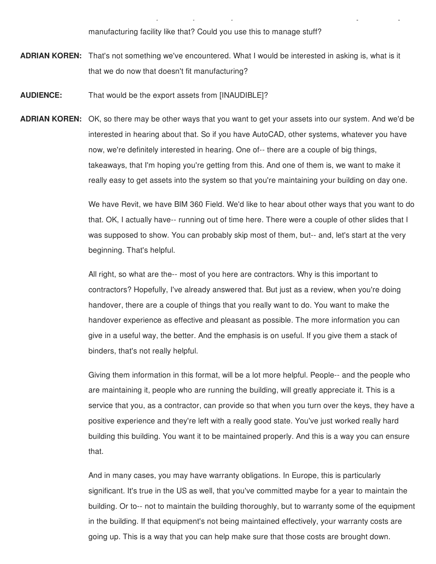manufacturing facility like that? Could you use this to manage stuff?

assets in that factory are heavy machinery, robotic farms. In the anti-machinery, robotic farms. In the anti-m

- **ADRIAN KOREN:** That's not something we've encountered. What I would be interested in asking is, what is it that we do now that doesn't fit manufacturing?
- **AUDIENCE:** That would be the export assets from [INAUDIBLE]?
- **ADRIAN KOREN:** OK, so there may be other ways that you want to get your assets into our system. And we'd be interested in hearing about that. So if you have AutoCAD, other systems, whatever you have now, we're definitely interested in hearing. One of-- there are a couple of big things, takeaways, that I'm hoping you're getting from this. And one of them is, we want to make it really easy to get assets into the system so that you're maintaining your building on day one.

We have Revit, we have BIM 360 Field. We'd like to hear about other ways that you want to do that. OK, I actually have-- running out of time here. There were a couple of other slides that I was supposed to show. You can probably skip most of them, but-- and, let's start at the very beginning. That's helpful.

All right, so what are the-- most of you here are contractors. Why is this important to contractors? Hopefully, I've already answered that. But just as a review, when you're doing handover, there are a couple of things that you really want to do. You want to make the handover experience as effective and pleasant as possible. The more information you can give in a useful way, the better. And the emphasis is on useful. If you give them a stack of binders, that's not really helpful.

Giving them information in this format, will be a lot more helpful. People-- and the people who are maintaining it, people who are running the building, will greatly appreciate it. This is a service that you, as a contractor, can provide so that when you turn over the keys, they have a positive experience and they're left with a really good state. You've just worked really hard building this building. You want it to be maintained properly. And this is a way you can ensure that.

And in many cases, you may have warranty obligations. In Europe, this is particularly significant. It's true in the US as well, that you've committed maybe for a year to maintain the building. Or to-- not to maintain the building thoroughly, but to warranty some of the equipment in the building. If that equipment's not being maintained effectively, your warranty costs are going up. This is a way that you can help make sure that those costs are brought down.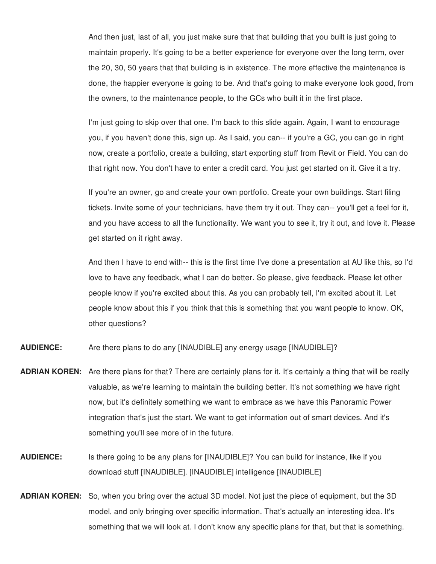And then just, last of all, you just make sure that that building that you built is just going to maintain properly. It's going to be a better experience for everyone over the long term, over the 20, 30, 50 years that that building is in existence. The more effective the maintenance is done, the happier everyone is going to be. And that's going to make everyone look good, from the owners, to the maintenance people, to the GCs who built it in the first place.

I'm just going to skip over that one. I'm back to this slide again. Again, I want to encourage you, if you haven't done this, sign up. As I said, you can-- if you're a GC, you can go in right now, create a portfolio, create a building, start exporting stuff from Revit or Field. You can do that right now. You don't have to enter a credit card. You just get started on it. Give it a try.

If you're an owner, go and create your own portfolio. Create your own buildings. Start filing tickets. Invite some of your technicians, have them try it out. They can-- you'll get a feel for it, and you have access to all the functionality. We want you to see it, try it out, and love it. Please get started on it right away.

And then I have to end with-- this is the first time I've done a presentation at AU like this, so I'd love to have any feedback, what I can do better. So please, give feedback. Please let other people know if you're excited about this. As you can probably tell, I'm excited about it. Let people know about this if you think that this is something that you want people to know. OK, other questions?

**AUDIENCE:** Are there plans to do any [INAUDIBLE] any energy usage [INAUDIBLE]?

- **ADRIAN KOREN:** Are there plans for that? There are certainly plans for it. It's certainly a thing that will be really valuable, as we're learning to maintain the building better. It's not something we have right now, but it's definitely something we want to embrace as we have this Panoramic Power integration that's just the start. We want to get information out of smart devices. And it's something you'll see more of in the future.
- **AUDIENCE:** Is there going to be any plans for [INAUDIBLE]? You can build for instance, like if you download stuff [INAUDIBLE]. [INAUDIBLE] intelligence [INAUDIBLE]
- **ADRIAN KOREN:** So, when you bring over the actual 3D model. Not just the piece of equipment, but the 3D model, and only bringing over specific information. That's actually an interesting idea. It's something that we will look at. I don't know any specific plans for that, but that is something.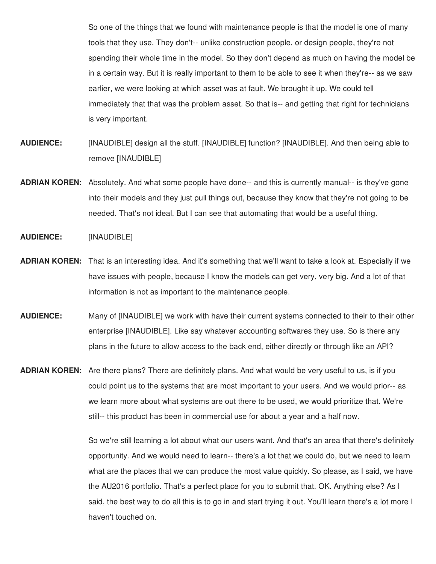So one of the things that we found with maintenance people is that the model is one of many tools that they use. They don't-- unlike construction people, or design people, they're not spending their whole time in the model. So they don't depend as much on having the model be in a certain way. But it is really important to them to be able to see it when they're-- as we saw earlier, we were looking at which asset was at fault. We brought it up. We could tell immediately that that was the problem asset. So that is-- and getting that right for technicians is very important.

- **AUDIENCE:** [INAUDIBLE] design all the stuff. [INAUDIBLE] function? [INAUDIBLE]. And then being able to remove [INAUDIBLE]
- **ADRIAN KOREN:** Absolutely. And what some people have done-- and this is currently manual-- is they've gone into their models and they just pull things out, because they know that they're not going to be needed. That's not ideal. But I can see that automating that would be a useful thing.

## **AUDIENCE:** [INAUDIBLE]

- **ADRIAN KOREN:** That is an interesting idea. And it's something that we'll want to take a look at. Especially if we have issues with people, because I know the models can get very, very big. And a lot of that information is not as important to the maintenance people.
- **AUDIENCE:** Many of [INAUDIBLE] we work with have their current systems connected to their to their other enterprise [INAUDIBLE]. Like say whatever accounting softwares they use. So is there any plans in the future to allow access to the back end, either directly or through like an API?
- **ADRIAN KOREN:** Are there plans? There are definitely plans. And what would be very useful to us, is if you could point us to the systems that are most important to your users. And we would prior-- as we learn more about what systems are out there to be used, we would prioritize that. We're still-- this product has been in commercial use for about a year and a half now.

So we're still learning a lot about what our users want. And that's an area that there's definitely opportunity. And we would need to learn-- there's a lot that we could do, but we need to learn what are the places that we can produce the most value quickly. So please, as I said, we have the AU2016 portfolio. That's a perfect place for you to submit that. OK. Anything else? As I said, the best way to do all this is to go in and start trying it out. You'll learn there's a lot more I haven't touched on.